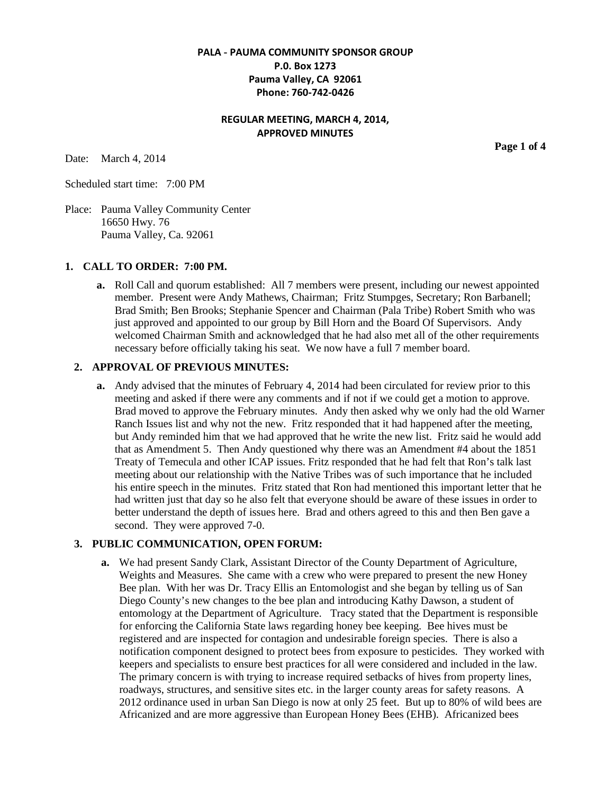# **PALA - PAUMA COMMUNITY SPONSOR GROUP P.0. Box 1273 Pauma Valley, CA 92061 Phone: 760-742-0426**

# **REGULAR MEETING, MARCH 4, 2014, APPROVED MINUTES**

Date: March 4, 2014

Scheduled start time: 7:00 PM

Place: Pauma Valley Community Center 16650 Hwy. 76 Pauma Valley, Ca. 92061

#### **1. CALL TO ORDER: 7:00 PM.**

**a.** Roll Call and quorum established: All 7 members were present, including our newest appointed member. Present were Andy Mathews, Chairman; Fritz Stumpges, Secretary; Ron Barbanell; Brad Smith; Ben Brooks; Stephanie Spencer and Chairman (Pala Tribe) Robert Smith who was just approved and appointed to our group by Bill Horn and the Board Of Supervisors. Andy welcomed Chairman Smith and acknowledged that he had also met all of the other requirements necessary before officially taking his seat. We now have a full 7 member board.

#### **2. APPROVAL OF PREVIOUS MINUTES:**

**a.** Andy advised that the minutes of February 4, 2014 had been circulated for review prior to this meeting and asked if there were any comments and if not if we could get a motion to approve. Brad moved to approve the February minutes. Andy then asked why we only had the old Warner Ranch Issues list and why not the new. Fritz responded that it had happened after the meeting, but Andy reminded him that we had approved that he write the new list. Fritz said he would add that as Amendment 5. Then Andy questioned why there was an Amendment #4 about the 1851 Treaty of Temecula and other ICAP issues. Fritz responded that he had felt that Ron's talk last meeting about our relationship with the Native Tribes was of such importance that he included his entire speech in the minutes. Fritz stated that Ron had mentioned this important letter that he had written just that day so he also felt that everyone should be aware of these issues in order to better understand the depth of issues here. Brad and others agreed to this and then Ben gave a second. They were approved 7-0.

### **3. PUBLIC COMMUNICATION, OPEN FORUM:**

**a.** We had present Sandy Clark, Assistant Director of the County Department of Agriculture, Weights and Measures. She came with a crew who were prepared to present the new Honey Bee plan. With her was Dr. Tracy Ellis an Entomologist and she began by telling us of San Diego County's new changes to the bee plan and introducing Kathy Dawson, a student of entomology at the Department of Agriculture. Tracy stated that the Department is responsible for enforcing the California State laws regarding honey bee keeping. Bee hives must be registered and are inspected for contagion and undesirable foreign species. There is also a notification component designed to protect bees from exposure to pesticides. They worked with keepers and specialists to ensure best practices for all were considered and included in the law. The primary concern is with trying to increase required setbacks of hives from property lines, roadways, structures, and sensitive sites etc. in the larger county areas for safety reasons. A 2012 ordinance used in urban San Diego is now at only 25 feet. But up to 80% of wild bees are Africanized and are more aggressive than European Honey Bees (EHB). Africanized bees

**Page 1 of 4**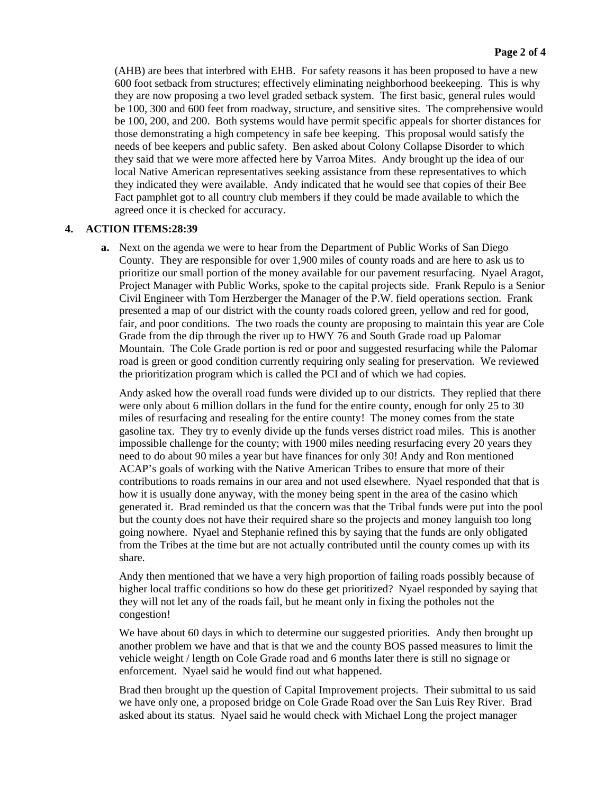(AHB) are bees that interbred with EHB. For safety reasons it has been proposed to have a new 600 foot setback from structures; effectively eliminating neighborhood beekeeping. This is why they are now proposing a two level graded setback system. The first basic, general rules would be 100, 300 and 600 feet from roadway, structure, and sensitive sites. The comprehensive would be 100, 200, and 200. Both systems would have permit specific appeals for shorter distances for those demonstrating a high competency in safe bee keeping. This proposal would satisfy the needs of bee keepers and public safety. Ben asked about Colony Collapse Disorder to which they said that we were more affected here by Varroa Mites. Andy brought up the idea of our local Native American representatives seeking assistance from these representatives to which they indicated they were available. Andy indicated that he would see that copies of their Bee Fact pamphlet got to all country club members if they could be made available to which the agreed once it is checked for accuracy.

# **4. ACTION ITEMS:28:39**

**a.** Next on the agenda we were to hear from the Department of Public Works of San Diego County. They are responsible for over 1,900 miles of county roads and are here to ask us to prioritize our small portion of the money available for our pavement resurfacing. Nyael Aragot, Project Manager with Public Works, spoke to the capital projects side. Frank Repulo is a Senior Civil Engineer with Tom Herzberger the Manager of the P.W. field operations section. Frank presented a map of our district with the county roads colored green, yellow and red for good, fair, and poor conditions. The two roads the county are proposing to maintain this year are Cole Grade from the dip through the river up to HWY 76 and South Grade road up Palomar Mountain. The Cole Grade portion is red or poor and suggested resurfacing while the Palomar road is green or good condition currently requiring only sealing for preservation. We reviewed the prioritization program which is called the PCI and of which we had copies.

Andy asked how the overall road funds were divided up to our districts. They replied that there were only about 6 million dollars in the fund for the entire county, enough for only 25 to 30 miles of resurfacing and resealing for the entire county! The money comes from the state gasoline tax. They try to evenly divide up the funds verses district road miles. This is another impossible challenge for the county; with 1900 miles needing resurfacing every 20 years they need to do about 90 miles a year but have finances for only 30! Andy and Ron mentioned ACAP's goals of working with the Native American Tribes to ensure that more of their contributions to roads remains in our area and not used elsewhere. Nyael responded that that is how it is usually done anyway, with the money being spent in the area of the casino which generated it. Brad reminded us that the concern was that the Tribal funds were put into the pool but the county does not have their required share so the projects and money languish too long going nowhere. Nyael and Stephanie refined this by saying that the funds are only obligated from the Tribes at the time but are not actually contributed until the county comes up with its share.

Andy then mentioned that we have a very high proportion of failing roads possibly because of higher local traffic conditions so how do these get prioritized? Nyael responded by saying that they will not let any of the roads fail, but he meant only in fixing the potholes not the congestion!

We have about 60 days in which to determine our suggested priorities. Andy then brought up another problem we have and that is that we and the county BOS passed measures to limit the vehicle weight / length on Cole Grade road and 6 months later there is still no signage or enforcement. Nyael said he would find out what happened.

Brad then brought up the question of Capital Improvement projects. Their submittal to us said we have only one, a proposed bridge on Cole Grade Road over the San Luis Rey River. Brad asked about its status. Nyael said he would check with Michael Long the project manager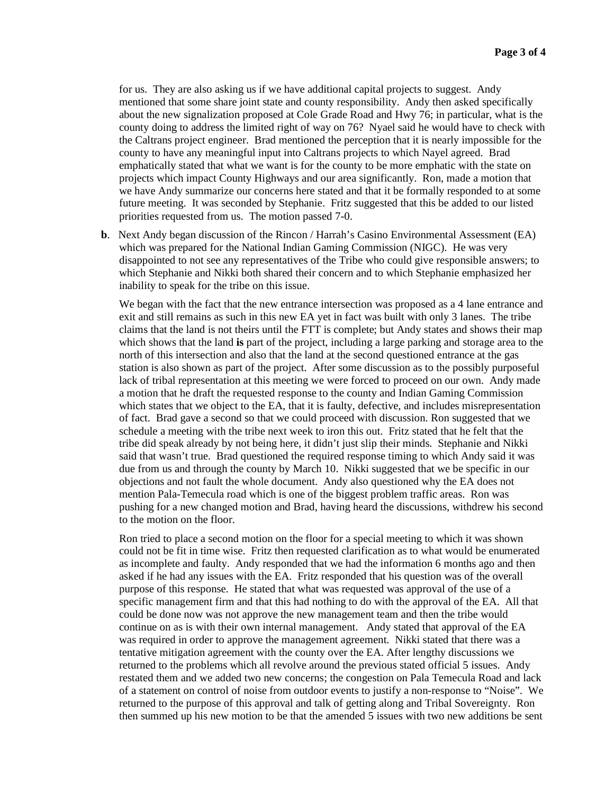for us. They are also asking us if we have additional capital projects to suggest. Andy mentioned that some share joint state and county responsibility. Andy then asked specifically about the new signalization proposed at Cole Grade Road and Hwy 76; in particular, what is the county doing to address the limited right of way on 76? Nyael said he would have to check with the Caltrans project engineer. Brad mentioned the perception that it is nearly impossible for the county to have any meaningful input into Caltrans projects to which Nayel agreed. Brad emphatically stated that what we want is for the county to be more emphatic with the state on projects which impact County Highways and our area significantly. Ron, made a motion that we have Andy summarize our concerns here stated and that it be formally responded to at some future meeting. It was seconded by Stephanie. Fritz suggested that this be added to our listed priorities requested from us. The motion passed 7-0.

**b**. Next Andy began discussion of the Rincon / Harrah's Casino Environmental Assessment (EA) which was prepared for the National Indian Gaming Commission (NIGC). He was very disappointed to not see any representatives of the Tribe who could give responsible answers; to which Stephanie and Nikki both shared their concern and to which Stephanie emphasized her inability to speak for the tribe on this issue.

We began with the fact that the new entrance intersection was proposed as a 4 lane entrance and exit and still remains as such in this new EA yet in fact was built with only 3 lanes. The tribe claims that the land is not theirs until the FTT is complete; but Andy states and shows their map which shows that the land **is** part of the project, including a large parking and storage area to the north of this intersection and also that the land at the second questioned entrance at the gas station is also shown as part of the project. After some discussion as to the possibly purposeful lack of tribal representation at this meeting we were forced to proceed on our own. Andy made a motion that he draft the requested response to the county and Indian Gaming Commission which states that we object to the EA, that it is faulty, defective, and includes misrepresentation of fact. Brad gave a second so that we could proceed with discussion. Ron suggested that we schedule a meeting with the tribe next week to iron this out. Fritz stated that he felt that the tribe did speak already by not being here, it didn't just slip their minds. Stephanie and Nikki said that wasn't true. Brad questioned the required response timing to which Andy said it was due from us and through the county by March 10. Nikki suggested that we be specific in our objections and not fault the whole document. Andy also questioned why the EA does not mention Pala-Temecula road which is one of the biggest problem traffic areas. Ron was pushing for a new changed motion and Brad, having heard the discussions, withdrew his second to the motion on the floor.

Ron tried to place a second motion on the floor for a special meeting to which it was shown could not be fit in time wise. Fritz then requested clarification as to what would be enumerated as incomplete and faulty. Andy responded that we had the information 6 months ago and then asked if he had any issues with the EA. Fritz responded that his question was of the overall purpose of this response. He stated that what was requested was approval of the use of a specific management firm and that this had nothing to do with the approval of the EA. All that could be done now was not approve the new management team and then the tribe would continue on as is with their own internal management. Andy stated that approval of the EA was required in order to approve the management agreement. Nikki stated that there was a tentative mitigation agreement with the county over the EA. After lengthy discussions we returned to the problems which all revolve around the previous stated official 5 issues. Andy restated them and we added two new concerns; the congestion on Pala Temecula Road and lack of a statement on control of noise from outdoor events to justify a non-response to "Noise". We returned to the purpose of this approval and talk of getting along and Tribal Sovereignty. Ron then summed up his new motion to be that the amended 5 issues with two new additions be sent